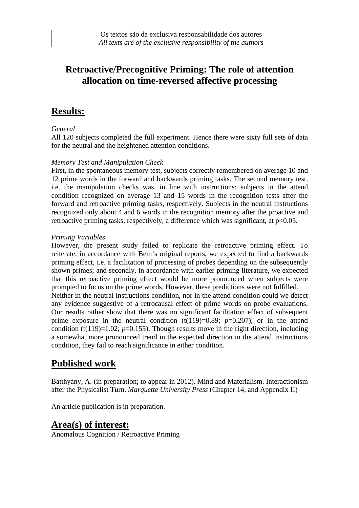## **Retroactive/Precognitive Priming: The role of attention allocation on time-reversed affective processing**

### **Results:**

#### *General*

All 120 subjects completed the full experiment. Hence there were sixty full sets of data for the neutral and the heightened attention conditions.

#### *Memory Test and Manipulation Check*

First, in the spontaneous memory test, subjects correctly remembered on average 10 and 12 prime words in the forward and backwards priming tasks. The second memory test, i.e. the manipulation checks was in line with instructions: subjects in the attend condition recognized on average 13 and 15 words in the recognition tests after the forward and retroactive priming tasks, respectively. Subjects in the neutral instructions recognized only about 4 and 6 words in the recognition memory after the proactive and retroactive priming tasks, respectively, a difference which was significant, at  $p<0.05$ .

#### *Priming Variables*

However, the present study failed to replicate the retroactive priming effect. To reiterate, in accordance with Bem's original reports, we expected to find a backwards priming effect, i.e. a facilitation of processing of probes depending on the subsequently shown primes; and secondly, in accordance with earlier priming literature, we expected that this retroactive priming effect would be more pronounced when subjects were prompted to focus on the prime words. However, these predictions were not fulfilled. Neither in the neutral instructions condition, nor in the attend condition could we detect

any evidence suggestive of a retrocausal effect of prime words on probe evaluations. Our results rather show that there was no significant facilitation effect of subsequent prime exposure in the neutral condition  $(t(119)=0.89; p=0.207)$ , or in the attend condition (t(119)=1.02;  $p=0.155$ ). Though results move in the right direction, including a somewhat more pronounced trend in the expected direction in the attend instructions condition, they fail to reach significance in either condition.

# **Published work**

Batthyány, A. (in preparation; to appear in 2012). Mind and Materialism. Interactionism after the Physicalist Turn. *Marquette University Press* (Chapter 14, and Appendix II)

An article publication is in preparation.

### **Area(s) of interest:**

Anomalous Cognition / Retroactive Priming